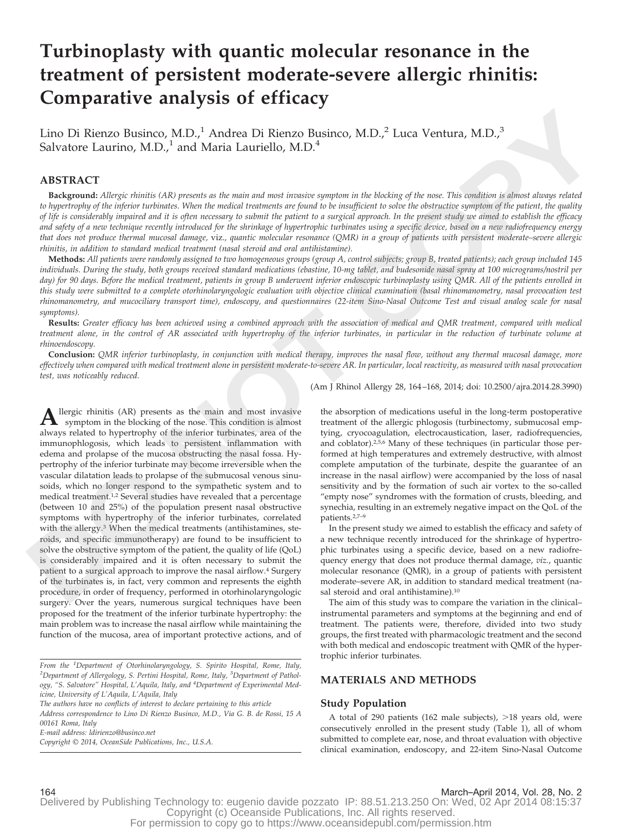# **Turbinoplasty with quantic molecular resonance in the treatment of persistent moderate-severe allergic rhinitis: Comparative analysis of efficacy**

Lino Di Rienzo Businco, M.D.,<sup>1</sup> Andrea Di Rienzo Businco, M.D.,<sup>2</sup> Luca Ventura, M.D.,<sup>3</sup> Salvatore Laurino, M.D., $<sup>1</sup>$  and Maria Lauriello, M.D. $<sup>4</sup>$ </sup></sup>

# **ABSTRACT**

**Background:** *Allergic rhinitis (AR) presents as the main and most invasive symptom in the blocking of the nose. This condition is almost always related to hypertrophy of the inferior turbinates. When the medical treatments are found to be insufficient to solve the obstructive symptom of the patient, the quality of life is considerably impaired and it is often necessary to submit the patient to a surgical approach. In the present study we aimed to establish the efficacy and safety of a new technique recently introduced for the shrinkage of hypertrophic turbinates using a specific device, based on a new radiofrequency energy that does not produce thermal mucosal damage,* viz.*, quantic molecular resonance (QMR) in a group of patients with persistent moderate–severe allergic rhinitis, in addition to standard medical treatment (nasal steroid and oral antihistamine).*

**Methods:** *All patients were randomly assigned to two homogeneous groups (group A, control subjects; group B, treated patients); each group included 145 individuals. During the study, both groups received standard medications (ebastine, 10-mg tablet, and budesonide nasal spray at 100 micrograms/nostril per* day) for 90 days. Before the medical treatment, patients in group B underwent inferior endoscopic turbinoplasty using QMR. All of the patients enrolled in *this study were submitted to a complete otorhinolaryngologic evaluation with objective clinical examination (basal rhinomanometry, nasal provocation test rhinomanometry, and mucociliary transport time), endoscopy, and questionnaires (22-item Sino-Nasal Outcome Test and visual analog scale for nasal symptoms).*

**Results:** *Greater efficacy has been achieved using a combined approach with the association of medical and QMR treatment, compared with medical treatment alone, in the control of AR associated with hypertrophy of the inferior turbinates, in particular in the reduction of turbinate volume at rhinoendoscopy.*

**Conclusion:** *QMR inferior turbinoplasty, in conjunction with medical therapy, improves the nasal flow, without any thermal mucosal damage, more effectively when compared with medical treatment alone in persistent moderate-to-severe AR. In particular, local reactivity, as measured with nasal provocation test, was noticeably reduced.*

**A** llergic rhinitis (AR) presents as the main and most invasive symptom in the blocking of the nose. This condition is almost always related to hypertrophy of the inferior turbinates, area of the immunophlogosis, which leads to persistent inflammation with edema and prolapse of the mucosa obstructing the nasal fossa. Hypertrophy of the inferior turbinate may become irreversible when the vascular dilatation leads to prolapse of the submucosal venous sinusoids, which no longer respond to the sympathetic system and to medical treatment.1,2 Several studies have revealed that a percentage (between 10 and 25%) of the population present nasal obstructive symptoms with hypertrophy of the inferior turbinates, correlated with the allergy.3 When the medical treatments (antihistamines, steroids, and specific immunotherapy) are found to be insufficient to solve the obstructive symptom of the patient, the quality of life (QoL) is considerably impaired and it is often necessary to submit the patient to a surgical approach to improve the nasal airflow.4 Surgery of the turbinates is, in fact, very common and represents the eighth procedure, in order of frequency, performed in otorhinolaryngologic surgery. Over the years, numerous surgical techniques have been proposed for the treatment of the inferior turbinate hypertrophy: the main problem was to increase the nasal airflow while maintaining the function of the mucosa, area of important protective actions, and of Lino Di Riemzo Businco, M.D.,<sup>1</sup> Andrea Di Riemzo Businco, M.D.,<sup>2</sup> Luca Ventura, M.D.,<sup>3</sup><br>Salvatore Laurino, M.D.,<sup>1</sup> and Maria Lauriello, M.D.<sup>3</sup><br>Salvatore Laurino, M.D.,<sup>1</sup> and Maria Lauriello, M.D.<sup>3</sup><br>2008 and the pro

*From the <sup>1</sup> Department of Otorhinolaryngology, S. Spirito Hospital, Rome, Italy, 2 Department of Allergology, S. Pertini Hospital, Rome, Italy, <sup>3</sup> Department of Pathology, "S. Salvatore" Hospital, L'Aquila, Italy, and <sup>4</sup> Department of Experimental Medicine, University of L'Aquila, L'Aquila, Italy*

*The authors have no conflicts of interest to declare pertaining to this article*

*Address correspondence to Lino Di Rienzo Businco, M.D., Via G. B. de Rossi, 15 A 00161 Roma, Italy*

*E-mail address: ldirienzo@businco.net*

*Copyright* © *2014, OceanSide Publications, Inc., U.S.A.*

(Am J Rhinol Allergy 28, 164 –168, 2014; doi: 10.2500/ajra.2014.28.3990)

the absorption of medications useful in the long-term postoperative treatment of the allergic phlogosis (turbinectomy, submucosal emptying, cryocoagulation, electrocaustication, laser, radiofrequencies, and coblator).<sup>2,5,6</sup> Many of these techniques (in particular those performed at high temperatures and extremely destructive, with almost complete amputation of the turbinate, despite the guarantee of an increase in the nasal airflow) were accompanied by the loss of nasal sensitivity and by the formation of such air vortex to the so-called "empty nose" syndromes with the formation of crusts, bleeding, and synechia, resulting in an extremely negative impact on the QoL of the patients.2,7–9

In the present study we aimed to establish the efficacy and safety of a new technique recently introduced for the shrinkage of hypertrophic turbinates using a specific device, based on a new radiofrequency energy that does not produce thermal damage, *viz.*, quantic molecular resonance (QMR), in a group of patients with persistent moderate–severe AR, in addition to standard medical treatment (nasal steroid and oral antihistamine).10

The aim of this study was to compare the variation in the clinical– instrumental parameters and symptoms at the beginning and end of treatment. The patients were, therefore, divided into two study groups, the first treated with pharmacologic treatment and the second with both medical and endoscopic treatment with QMR of the hypertrophic inferior turbinates.

## **MATERIALS AND METHODS**

#### **Study Population**

A total of 290 patients (162 male subjects), >18 years old, were consecutively enrolled in the present study (Table 1), all of whom submitted to complete ear, nose, and throat evaluation with objective clinical examination, endoscopy, and 22-item Sino-Nasal Outcome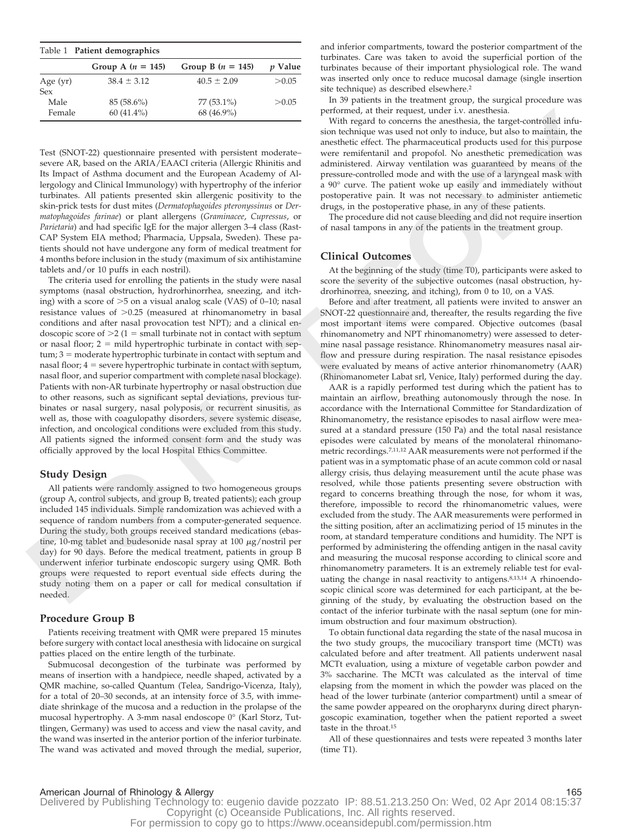|                   | Table 1 Patient demographics |                     |                |
|-------------------|------------------------------|---------------------|----------------|
|                   | Group A $(n = 145)$          | Group B $(n = 145)$ | <i>p</i> Value |
| Age $(yr)$<br>Sex | $38.4 \pm 3.12$              | $40.5 \pm 2.09$     | > 0.05         |
| Male              | $85(58.6\%)$                 | $77(53.1\%)$        | > 0.05         |
| Female            | $60(41.4\%)$                 | 68 (46.9%)          |                |

Test (SNOT-22) questionnaire presented with persistent moderate– severe AR, based on the ARIA/EAACI criteria (Allergic Rhinitis and Its Impact of Asthma document and the European Academy of Allergology and Clinical Immunology) with hypertrophy of the inferior turbinates. All patients presented skin allergenic positivity to the skin-prick tests for dust mites (*Dermatophagoides pteronyssinus* or *Dermatophagoides farinae*) or plant allergens (*Graminacee*, *Cupressus*, or *Parietaria*) and had specific IgE for the major allergen 3–4 class (Rast-CAP System EIA method; Pharmacia, Uppsala, Sweden). These patients should not have undergone any form of medical treatment for 4 months before inclusion in the study (maximum of six antihistamine tablets and/or 10 puffs in each nostril).

The criteria used for enrolling the patients in the study were nasal symptoms (nasal obstruction, hydrorhinorrhea, sneezing, and itching) with a score of >5 on a visual analog scale (VAS) of 0–10; nasal resistance values of -0.25 (measured at rhinomanometry in basal conditions and after nasal provocation test NPT); and a clinical endoscopic score of  $>$ 2 (1 = small turbinate not in contact with septum or nasal floor;  $2 =$  mild hypertrophic turbinate in contact with sep $tum$ ;  $3 =$  moderate hypertrophic turbinate in contact with septum and nasal floor;  $4 =$  severe hypertrophic turbinate in contact with septum, nasal floor, and superior compartment with complete nasal blockage). Patients with non-AR turbinate hypertrophy or nasal obstruction due to other reasons, such as significant septal deviations, previous turbinates or nasal surgery, nasal polyposis, or recurrent sinusitis, as well as, those with coagulopathy disorders, severe systemic disease, infection, and oncological conditions were excluded from this study. All patients signed the informed consent form and the study was officially approved by the local Hospital Ethics Committee.

### **Study Design**

All patients were randomly assigned to two homogeneous groups (group A, control subjects, and group B, treated patients); each group included 145 individuals. Simple randomization was achieved with a sequence of random numbers from a computer-generated sequence. During the study, both groups received standard medications (ebastine, 10-mg tablet and budesonide nasal spray at 100  $\mu$ g/nostril per day) for 90 days. Before the medical treatment, patients in group B underwent inferior turbinate endoscopic surgery using QMR. Both groups were requested to report eventual side effects during the study noting them on a paper or call for medical consultation if needed.

## **Procedure Group B**

Patients receiving treatment with QMR were prepared 15 minutes before surgery with contact local anesthesia with lidocaine on surgical patties placed on the entire length of the turbinate.

Submucosal decongestion of the turbinate was performed by means of insertion with a handpiece, needle shaped, activated by a QMR machine, so-called Quantum (Telea, Sandrigo-Vicenza, Italy), for a total of 20–30 seconds, at an intensity force of 3.5, with immediate shrinkage of the mucosa and a reduction in the prolapse of the mucosal hypertrophy. A 3-mm nasal endoscope 0° (Karl Storz, Tuttlingen, Germany) was used to access and view the nasal cavity, and the wand was inserted in the anterior portion of the inferior turbinate. The wand was activated and moved through the medial, superior,

and inferior compartments, toward the posterior compartment of the turbinates. Care was taken to avoid the superficial portion of the turbinates because of their important physiological role. The wand was inserted only once to reduce mucosal damage (single insertion site technique) as described elsewhere.2

In 39 patients in the treatment group, the surgical procedure was performed, at their request, under i.v. anesthesia.

With regard to concerns the anesthesia, the target-controlled infusion technique was used not only to induce, but also to maintain, the anesthetic effect. The pharmaceutical products used for this purpose were remifentanil and propofol. No anesthetic premedication was administered. Airway ventilation was guaranteed by means of the pressure-controlled mode and with the use of a laryngeal mask with a 90° curve. The patient woke up easily and immediately without postoperative pain. It was not necessary to administer antiemetic drugs, in the postoperative phase, in any of these patients.

The procedure did not cause bleeding and did not require insertion of nasal tampons in any of the patients in the treatment group.

## **Clinical Outcomes**

At the beginning of the study (time T0), participants were asked to score the severity of the subjective outcomes (nasal obstruction, hydrorhinorrea, sneezing, and itching), from 0 to 10, on a VAS.

Before and after treatment, all patients were invited to answer an SNOT-22 questionnaire and, thereafter, the results regarding the five most important items were compared. Objective outcomes (basal rhinomanometry and NPT rhinomanometry) were assessed to determine nasal passage resistance. Rhinomanometry measures nasal airflow and pressure during respiration. The nasal resistance episodes were evaluated by means of active anterior rhinomanometry (AAR) (Rhinomanometer Labat srl, Venice, Italy) performed during the day.

AAR is a rapidly performed test during which the patient has to maintain an airflow, breathing autonomously through the nose. In accordance with the International Committee for Standardization of Rhinomanometry, the resistance episodes to nasal airflow were measured at a standard pressure (150 Pa) and the total nasal resistance episodes were calculated by means of the monolateral rhinomanometric recordings.7,11,12 AAR measurements were not performed if the patient was in a symptomatic phase of an acute common cold or nasal allergy crisis, thus delaying measurement until the acute phase was resolved, while those patients presenting severe obstruction with regard to concerns breathing through the nose, for whom it was, therefore, impossible to record the rhinomanometric values, were excluded from the study. The AAR measurements were performed in the sitting position, after an acclimatizing period of 15 minutes in the room, at standard temperature conditions and humidity. The NPT is performed by administering the offending antigen in the nasal cavity and measuring the mucosal response according to clinical score and rhinomanometry parameters. It is an extremely reliable test for evaluating the change in nasal reactivity to antigens.<sup>8,13,14</sup> A rhinoendoscopic clinical score was determined for each participant, at the beginning of the study, by evaluating the obstruction based on the contact of the inferior turbinate with the nasal septum (one for minimum obstruction and four maximum obstruction). Fremde 60 (tl.14%) (with the species with the species with the species with the species with the species of the species with the species of the species with the species of the species of the species of the species of the

> To obtain functional data regarding the state of the nasal mucosa in the two study groups, the mucociliary transport time (MCTt) was calculated before and after treatment. All patients underwent nasal MCTt evaluation, using a mixture of vegetable carbon powder and 3% saccharine. The MCTt was calculated as the interval of time elapsing from the moment in which the powder was placed on the head of the lower turbinate (anterior compartment) until a smear of the same powder appeared on the oropharynx during direct pharyngoscopic examination, together when the patient reported a sweet taste in the throat.15

> All of these questionnaires and tests were repeated 3 months later (time T1).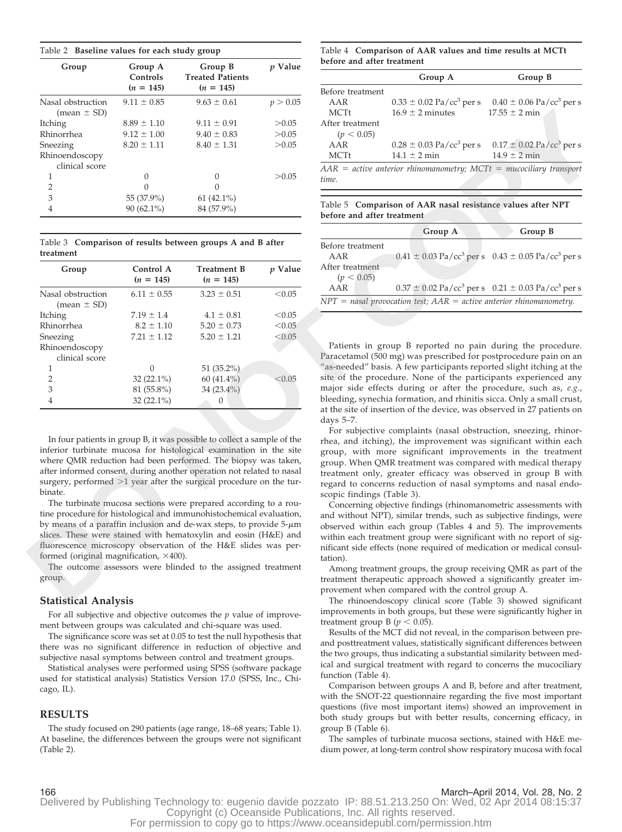#### Table 2 **Baseline values for each study group**

| Group                              | Group A<br>Controls<br>$(n = 145)$ | Group B<br><b>Treated Patients</b><br>$(n = 145)$ | <i>p</i> Value |
|------------------------------------|------------------------------------|---------------------------------------------------|----------------|
| Nasal obstruction<br>$mean \pm SD$ | $9.11 \pm 0.85$                    | $9.63 \pm 0.61$                                   | p > 0.05       |
| Itching                            | $8.89 \pm 1.10$                    | $9.11 \pm 0.91$                                   | > 0.05         |
| Rhinorrhea                         | $9.12 \pm 1.00$                    | $9.40 \pm 0.83$                                   | > 0.05         |
| Sneezing                           | $8.20 \pm 1.11$                    | $8.40 \pm 1.31$                                   | > 0.05         |
| Rhinoendoscopy<br>clinical score   |                                    |                                                   |                |
| 1                                  | 0                                  | 0                                                 | > 0.05         |
| $\overline{2}$                     |                                    |                                                   |                |
| 3                                  | 55 (37.9%)                         | $61(42.1\%)$                                      |                |
| 4                                  | $90(62.1\%)$                       | 84 (57.9%)                                        |                |

Table 3 **Comparison of results between groups A and B after treatment**

| $mean \pm SD$                                                           |                 |                                                                         |           | <b>MCTt</b>                | $16.9 \pm 2$ minutes                                                    | $17.55 \pm 2 \text{ min}$                                                         |
|-------------------------------------------------------------------------|-----------------|-------------------------------------------------------------------------|-----------|----------------------------|-------------------------------------------------------------------------|-----------------------------------------------------------------------------------|
| Itching                                                                 | $8.89 \pm 1.10$ | $9.11 \pm 0.91$                                                         | >0.05     | After treatment            |                                                                         |                                                                                   |
| Rhinorrhea                                                              | $9.12 \pm 1.00$ | $9.40 \pm 0.83$                                                         | >0.05     | (p < 0.05)                 |                                                                         |                                                                                   |
| Sneezing                                                                | $8.20 \pm 1.11$ | $8.40 \pm 1.31$                                                         | >0.05     | AAR                        | $0.28 \pm 0.03$ Pa/cc <sup>3</sup> per s                                | $0.17 \pm 0.02$ Pa/cc <sup>3</sup> per s                                          |
| Rhinoendoscopy                                                          |                 |                                                                         |           | <b>MCTt</b>                | $14.1 \pm 2 \text{ min}$                                                | $14.9 \pm 2 \text{ min}$                                                          |
| clinical score                                                          |                 |                                                                         |           |                            | $AAR$ = active anterior rhinomanometry; MCTt = mucociliary transport    |                                                                                   |
| 1                                                                       | $\theta$        | $\theta$                                                                | >0.05     | time.                      |                                                                         |                                                                                   |
| 2                                                                       | $\theta$        | $\mathbf{0}$                                                            |           |                            |                                                                         |                                                                                   |
| 3                                                                       | 55 (37.9%)      | $61(42.1\%)$                                                            |           |                            |                                                                         |                                                                                   |
| $\overline{4}$                                                          | $90(62.1\%)$    | 84 (57.9%)                                                              |           |                            | Table 5 Comparison of AAR nasal resistance values after NPT             |                                                                                   |
|                                                                         |                 |                                                                         |           | before and after treatment |                                                                         |                                                                                   |
|                                                                         |                 |                                                                         |           |                            | Group A                                                                 | Group B                                                                           |
| Table 3 Comparison of results between groups A and B after<br>treatment |                 |                                                                         |           | Before treatment           |                                                                         |                                                                                   |
| Group                                                                   | Control A       | <b>Treatment B</b>                                                      | $p$ Value | AAR<br>After treatment     |                                                                         | $0.41 \pm 0.03 \text{ Pa/cc}^3$ per s $0.43 \pm 0.05 \text{ Pa/cc}^3$ per s       |
|                                                                         | $(n = 145)$     | $(n = 145)$                                                             |           | (p < 0.05)                 |                                                                         |                                                                                   |
|                                                                         |                 |                                                                         |           | AAR                        |                                                                         | $0.37 \pm 0.02$ Pa/cc <sup>3</sup> per s $0.21 \pm 0.03$ Pa/cc <sup>3</sup> per s |
| Nasal obstruction<br>(mean $\pm$ SD)                                    | $6.11 \pm 0.55$ | $3.23 \pm 0.51$                                                         | < 0.05    |                            | $NPT$ = nasal provocation test; $AAR$ = active anterior rhinomanometry. |                                                                                   |
| Itching                                                                 | $7.19 \pm 1.4$  | $4.1 \pm 0.81$                                                          | < 0.05    |                            |                                                                         |                                                                                   |
| Rhinorrhea                                                              | $8.2 \pm 1.10$  | $5.20 \pm 0.73$                                                         | < 0.05    |                            |                                                                         |                                                                                   |
| Sneezing                                                                | $7.21 \pm 1.12$ | $5.20 \pm 1.21$                                                         | < 0.05    |                            |                                                                         |                                                                                   |
| Rhinoendoscopy                                                          |                 |                                                                         |           |                            | Patients in group B reported no pain during the procedure.              |                                                                                   |
| clinical score                                                          |                 |                                                                         |           |                            | Paracetamol (500 mg) was prescribed for postprocedure pain on an        |                                                                                   |
| 1                                                                       | $\mathbf{0}$    | $51(35.2\%)$                                                            |           |                            | "as-needed" basis. A few participants reported slight itching at the    |                                                                                   |
| $\overline{2}$                                                          | 32 (22.1%)      | 60 (41.4%)                                                              | < 0.05    |                            | site of the procedure. None of the participants experienced any         |                                                                                   |
| 3                                                                       | $81(55.8\%)$    | 34 (23.4%)                                                              |           |                            | major side effects during or after the procedure, such as, e.g.,        |                                                                                   |
| $\overline{4}$                                                          | $32(22.1\%)$    | $\boldsymbol{0}$                                                        |           |                            | bleeding, synechia formation, and rhinitis sicca. Only a small crust,   |                                                                                   |
|                                                                         |                 |                                                                         |           |                            | at the site of insertion of the device, was observed in 27 patients on  |                                                                                   |
|                                                                         |                 |                                                                         |           | days $5-7$ .               |                                                                         |                                                                                   |
|                                                                         |                 |                                                                         |           |                            | For subjective complaints (nasal obstruction, sneezing, rhinor-         |                                                                                   |
|                                                                         |                 | In four patients in group B, it was possible to collect a sample of the |           |                            | rhea, and itching), the improvement was significant within each         |                                                                                   |
|                                                                         |                 | inferior turbinate mucosa for histological examination in the site      |           |                            | group, with more significant improvements in the treatment              |                                                                                   |
|                                                                         |                 | where QMR reduction had been performed. The biopsy was taken,           |           |                            | group. When QMR treatment was compared with medical therapy             |                                                                                   |
|                                                                         |                 | after informed consent, during another operation not related to nasal   |           |                            | treatment only, greater efficacy was observed in group B with           |                                                                                   |
|                                                                         |                 | surgery, performed $>1$ year after the surgical procedure on the tur-   |           |                            | regard to concerns reduction of nasal symptoms and nasal endo-          |                                                                                   |
| binate.                                                                 |                 |                                                                         |           | scopic findings (Table 3). |                                                                         |                                                                                   |
|                                                                         |                 | The turbinate mucosa sections were prepared according to a rou-         |           |                            | Concerning objective findings (rhinomanometric assessments with         |                                                                                   |
|                                                                         |                 | tine procedure for histological and immunohistochemical evaluation,     |           |                            | and without NPT), similar trends, such as subjective findings, were     |                                                                                   |
|                                                                         |                 | by means of a paraffin inclusion and de-wax steps, to provide $5-\mu m$ |           |                            | observed within each group (Tables 4 and 5). The improvements           |                                                                                   |
|                                                                         |                 | slices. These were stained with hematoxylin and eosin (H&E) and         |           |                            | within each treatment group were significant with no report of sig-     |                                                                                   |
|                                                                         |                 | fluorescence microscopy observation of the H&E slides was per-          |           |                            | nificant side effects (none required of medication or medical consul-   |                                                                                   |
| formed (original magnification, $\times$ 400).                          |                 |                                                                         |           |                            |                                                                         |                                                                                   |
|                                                                         |                 | The outcome assessors were blinded to the assigned treatment            |           | tation).                   |                                                                         |                                                                                   |
| group.                                                                  |                 |                                                                         |           |                            | Among treatment groups, the group receiving QMR as part of the          |                                                                                   |
|                                                                         |                 |                                                                         |           |                            | treatment therapeutic approach showed a significantly greater im-       |                                                                                   |
|                                                                         |                 |                                                                         |           |                            | provement when compared with the control group A.                       |                                                                                   |
| Statistical Analysis                                                    |                 |                                                                         |           |                            | The rhinoendoscopy clinical score (Table 3) showed significant          |                                                                                   |

## **Statistical Analysis**

For all subjective and objective outcomes the *p* value of improvement between groups was calculated and chi-square was used.

The significance score was set at 0.05 to test the null hypothesis that there was no significant difference in reduction of objective and subjective nasal symptoms between control and treatment groups.

Statistical analyses were performed using SPSS (software package used for statistical analysis) Statistics Version 17.0 (SPSS, Inc., Chicago, IL).

## **RESULTS**

The study focused on 290 patients (age range, 18–68 years; Table 1). At baseline, the differences between the groups were not significant (Table 2).

Table 4 **Comparison of AAR values and time results at MCTt before and after treatment**

|                  | Group A                                  | Group B                                                              |
|------------------|------------------------------------------|----------------------------------------------------------------------|
| Before treatment |                                          |                                                                      |
| AAR              | $0.33 \pm 0.02$ Pa/cc <sup>3</sup> per s | $0.40 \pm 0.06$ Pa/cc <sup>3</sup> per s                             |
| <b>MCTt</b>      | $16.9 \pm 2$ minutes                     | $17.55 \pm 2 \text{ min}$                                            |
| After treatment  |                                          |                                                                      |
| (p < 0.05)       |                                          |                                                                      |
| AAR              | $0.28 \pm 0.03$ Pa/cc <sup>3</sup> per s | $0.17 \pm 0.02$ Pa/cc <sup>3</sup> per s                             |
| <b>MCTt</b>      | $14.1 \pm 2$ min                         | $14.9 \pm 2$ min                                                     |
|                  |                                          | $AAR$ = active anterior rhinomanometry; MCTt = mucociliary transport |
| time.            |                                          |                                                                      |

Table 5 **Comparison of AAR nasal resistance values after NPT before and after treatment**

|                  | Group A                                                                           | Group B                                                                           |
|------------------|-----------------------------------------------------------------------------------|-----------------------------------------------------------------------------------|
| Before treatment |                                                                                   |                                                                                   |
| AAR              | $0.41 \pm 0.03$ Pa/cc <sup>3</sup> per s $0.43 \pm 0.05$ Pa/cc <sup>3</sup> per s |                                                                                   |
| After treatment  |                                                                                   |                                                                                   |
| (p < 0.05)       |                                                                                   |                                                                                   |
| AAR              |                                                                                   | $0.37 \pm 0.02$ Pa/cc <sup>3</sup> per s $0.21 \pm 0.03$ Pa/cc <sup>3</sup> per s |
|                  | $NPT$ = nasal provocation test; $AAR$ = active anterior rhinomanometry.           |                                                                                   |

The rhinoendoscopy clinical score (Table 3) showed significant improvements in both groups, but these were significantly higher in treatment group B ( $p < 0.05$ ).

Results of the MCT did not reveal, in the comparison between preand posttreatment values, statistically significant differences between the two groups, thus indicating a substantial similarity between medical and surgical treatment with regard to concerns the mucociliary function (Table 4).

Comparison between groups A and B, before and after treatment, with the SNOT-22 questionnaire regarding the five most important questions (five most important items) showed an improvement in both study groups but with better results, concerning efficacy, in group B (Table 6).

The samples of turbinate mucosa sections, stained with H&E medium power, at long-term control show respiratory mucosa with focal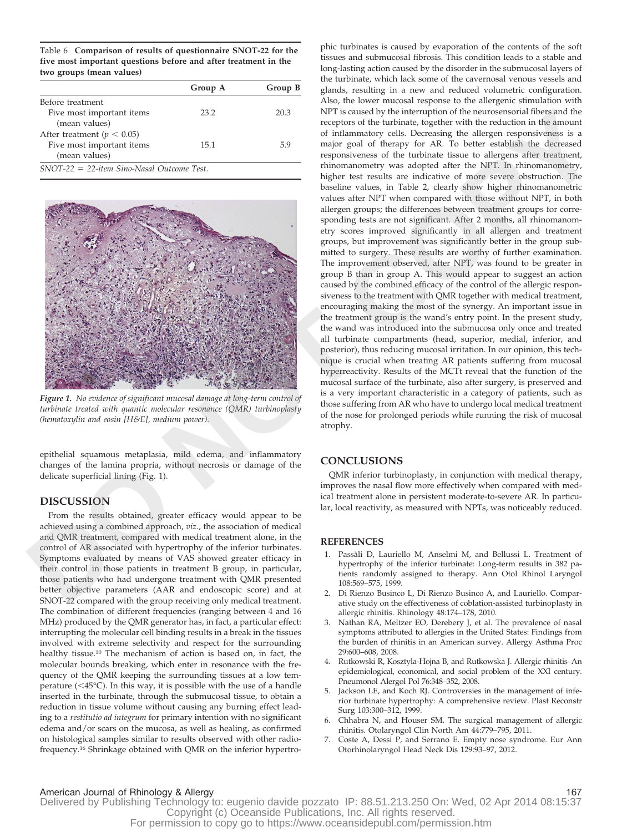Table 6 **Comparison of results of questionnaire SNOT-22 for the five most important questions before and after treatment in the two groups (mean values)**

|                                               | Group A | Group B |
|-----------------------------------------------|---------|---------|
| Before treatment                              |         |         |
| Five most important items                     | 23.2    | 20.3    |
| (mean values)                                 |         |         |
| After treatment ( $p < 0.05$ )                |         |         |
| Five most important items                     | 15.1    | 5.9     |
| (mean values)                                 |         |         |
| $SNOT-22 = 22$ -item Sino-Nasal Outcome Test. |         |         |



*Figure 1. No evidence of significant mucosal damage at long-term control of turbinate treated with quantic molecular resonance (QMR) turbinoplasty (hematoxylin and eosin [H&E], medium power).*

epithelial squamous metaplasia, mild edema, and inflammatory changes of the lamina propria, without necrosis or damage of the delicate superficial lining (Fig. 1).

## **DISCUSSION**

From the results obtained, greater efficacy would appear to be achieved using a combined approach, *viz.*, the association of medical and QMR treatment, compared with medical treatment alone, in the control of AR associated with hypertrophy of the inferior turbinates. Symptoms evaluated by means of VAS showed greater efficacy in their control in those patients in treatment B group, in particular, those patients who had undergone treatment with QMR presented better objective parameters (AAR and endoscopic score) and at SNOT-22 compared with the group receiving only medical treatment. The combination of different frequencies (ranging between 4 and 16 MHz) produced by the QMR generator has, in fact, a particular effect: interrupting the molecular cell binding results in a break in the tissues involved with extreme selectivity and respect for the surrounding healthy tissue.10 The mechanism of action is based on, in fact, the molecular bounds breaking, which enter in resonance with the frequency of the QMR keeping the surrounding tissues at a low temperature  $(<\!\!45\degree C$ ). In this way, it is possible with the use of a handle inserted in the turbinate, through the submucosal tissue, to obtain a reduction in tissue volume without causing any burning effect leading to a *restitutio ad integrum* for primary intention with no significant edema and/or scars on the mucosa, as well as healing, as confirmed on histological samples similar to results observed with other radiofrequency.16 Shrinkage obtained with QMR on the inferior hypertro-

phic turbinates is caused by evaporation of the contents of the soft tissues and submucosal fibrosis. This condition leads to a stable and long-lasting action caused by the disorder in the submucosal layers of the turbinate, which lack some of the cavernosal venous vessels and glands, resulting in a new and reduced volumetric configuration. Also, the lower mucosal response to the allergenic stimulation with NPT is caused by the interruption of the neurosensorial fibers and the receptors of the turbinate, together with the reduction in the amount of inflammatory cells. Decreasing the allergen responsiveness is a major goal of therapy for AR. To better establish the decreased responsiveness of the turbinate tissue to allergens after treatment, rhinomanometry was adopted after the NPT. In rhinomanometry, higher test results are indicative of more severe obstruction. The baseline values, in Table 2, clearly show higher rhinomanometric values after NPT when compared with those without NPT, in both allergen groups; the differences between treatment groups for corresponding tests are not significant. After 2 months, all rhinomanometry scores improved significantly in all allergen and treatment groups, but improvement was significantly better in the group submitted to surgery. These results are worthy of further examination. The improvement observed, after NPT, was found to be greater in group B than in group A. This would appear to suggest an action caused by the combined efficacy of the control of the allergic responsiveness to the treatment with QMR together with medical treatment, encouraging making the most of the synergy. An important issue in the treatment group is the wand's entry point. In the present study, the wand was introduced into the submucosa only once and treated all turbinate compartments (head, superior, medial, inferior, and posterior), thus reducing mucosal irritation. In our opinion, this technique is crucial when treating AR patients suffering from mucosal hyperreactivity. Results of the MCTt reveal that the function of the mucosal surface of the turbinate, also after surgery, is preserved and is a very important characteristic in a category of patients, such as those suffering from AR who have to undergo local medical treatment of the nose for prolonged periods while running the risk of mucosal atrophy. The main transfer of the strengthenial term in the strengthenial term in the strengthenial term in the strengthenial term in the strengthenial term in the strengthenial term in the strengthenial term in the strengthenial

# **CONCLUSIONS**

QMR inferior turbinoplasty, in conjunction with medical therapy, improves the nasal flow more effectively when compared with medical treatment alone in persistent moderate-to-severe AR. In particular, local reactivity, as measured with NPTs, was noticeably reduced.

## **REFERENCES**

- 1. Passa`li D, Lauriello M, Anselmi M, and Bellussi L. Treatment of hypertrophy of the inferior turbinate: Long-term results in 382 patients randomly assigned to therapy. Ann Otol Rhinol Laryngol 108:569–575, 1999.
- 2. Di Rienzo Businco L, Di Rienzo Businco A, and Lauriello. Comparative study on the effectiveness of coblation-assisted turbinoplasty in allergic rhinitis. Rhinology 48:174–178, 2010.
- 3. Nathan RA, Meltzer EO, Derebery J, et al. The prevalence of nasal symptoms attributed to allergies in the United States: Findings from the burden of rhinitis in an American survey. Allergy Asthma Proc 29:600–608, 2008.
- 4. Rutkowski R, Kosztyla-Hojna B, and Rutkowska J. Allergic rhinitis–An epidemiological, economical, and social problem of the XXI century. Pneumonol Alergol Pol 76:348–352, 2008.
- 5. Jackson LE, and Koch RJ. Controversies in the management of inferior turbinate hypertrophy: A comprehensive review. Plast Reconstr Surg 103:300–312, 1999.
- 6. Chhabra N, and Houser SM. The surgical management of allergic rhinitis. Otolaryngol Clin North Am 44:779–795, 2011.
- 7. Coste A, Dessi P, and Serrano E. Empty nose syndrome. Eur Ann Otorhinolaryngol Head Neck Dis 129:93–97, 2012.